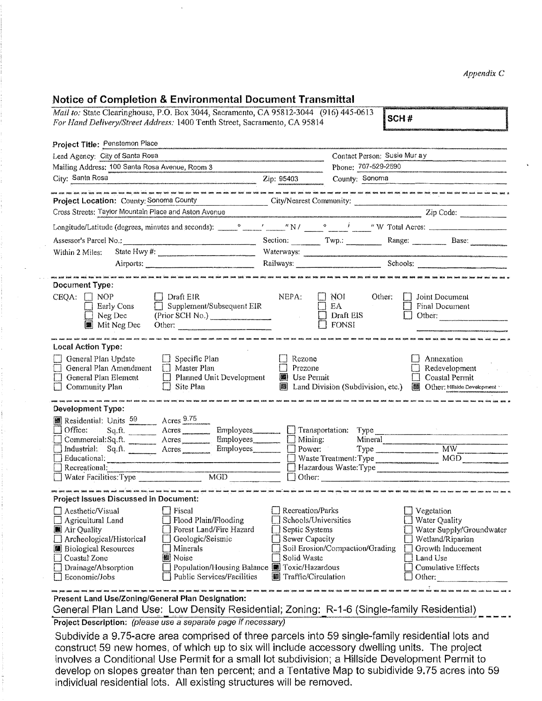## **Notice of Completion & Environmental Document Transmittal**

| Mail to: State Clearinghouse, P.O. Box 3044, Sacramento, CA 95812-3044 (916) 445-0613<br>For Hand Delivery/Street Address: 1400 Tenth Street, Sacramento, CA 95814                                               | Notice of Completion & Environmental Document Transmittal                                                                                                                                        |                                                                                                                    |                                                      | SCH#                                                                                                                                                                 |  |
|------------------------------------------------------------------------------------------------------------------------------------------------------------------------------------------------------------------|--------------------------------------------------------------------------------------------------------------------------------------------------------------------------------------------------|--------------------------------------------------------------------------------------------------------------------|------------------------------------------------------|----------------------------------------------------------------------------------------------------------------------------------------------------------------------|--|
| Project Title: Penstemon Place                                                                                                                                                                                   |                                                                                                                                                                                                  |                                                                                                                    |                                                      |                                                                                                                                                                      |  |
| Lead Agency: City of Santa Rosa                                                                                                                                                                                  |                                                                                                                                                                                                  | Contact Person: Susie Mur ay                                                                                       |                                                      |                                                                                                                                                                      |  |
| Mailing Address: 100 Santa Rosa Avenue, Room 3                                                                                                                                                                   |                                                                                                                                                                                                  | Phone: 707-529-2590                                                                                                |                                                      |                                                                                                                                                                      |  |
| City: Santa Rosa<br>$\text{Zip: } 95403$                                                                                                                                                                         |                                                                                                                                                                                                  |                                                                                                                    | County: Sonoma                                       |                                                                                                                                                                      |  |
| Project Location: County: Sonoma County City/Nearest Community:                                                                                                                                                  |                                                                                                                                                                                                  |                                                                                                                    |                                                      |                                                                                                                                                                      |  |
|                                                                                                                                                                                                                  |                                                                                                                                                                                                  |                                                                                                                    |                                                      | Cross Streets: Taylor Mountain Place and Aston Avenue (2009) 2012 2020 2020 2030 2040:                                                                               |  |
|                                                                                                                                                                                                                  |                                                                                                                                                                                                  |                                                                                                                    |                                                      |                                                                                                                                                                      |  |
| Assessor's Parcel No.: Base: Base: Base:                                                                                                                                                                         |                                                                                                                                                                                                  |                                                                                                                    |                                                      |                                                                                                                                                                      |  |
| Within 2 Miles:                                                                                                                                                                                                  |                                                                                                                                                                                                  |                                                                                                                    |                                                      |                                                                                                                                                                      |  |
|                                                                                                                                                                                                                  |                                                                                                                                                                                                  |                                                                                                                    |                                                      |                                                                                                                                                                      |  |
| Document Type:                                                                                                                                                                                                   |                                                                                                                                                                                                  |                                                                                                                    |                                                      |                                                                                                                                                                      |  |
| CEQA: $\Box$ NOP<br>Early Cons<br>$\Box$ Neg Dec                                                                                                                                                                 | $\Box$ Draft EIR<br>$\Box$ Supplement/Subsequent EIR<br>Mit Neg Dec Other:                                                                                                                       | NEPA:                                                                                                              | $\Box$ Noi<br>EA<br>$\Box$ Draft EIS<br>$\Box$ FONSI | Other:<br>Joint Document<br>$\perp$<br>Final Document<br>Other:                                                                                                      |  |
| <b>Local Action Type:</b>                                                                                                                                                                                        |                                                                                                                                                                                                  |                                                                                                                    |                                                      |                                                                                                                                                                      |  |
| General Plan Update<br>General Plan Amendment<br>General Plan Element<br>$\sim 10^{11}$<br>Community Plan                                                                                                        | $\Box$ Specific Plan<br>$\Box$ Master Plan<br>$\Box$ Planned Unit Development<br>$\Box$ Site Plan                                                                                                | Rezone<br>Prezone<br>Use Permit                                                                                    | Land Division (Subdivision, etc.)                    | Annexation<br>Redevelopment<br>Coastal Permit<br><b>M</b> Other: Hillside Development                                                                                |  |
| <b>Development Type:</b>                                                                                                                                                                                         | .<br>Any fivef whole occup witts toget tipps upda byes vans these press serve anyw may part anyw byes .                                                                                          |                                                                                                                    |                                                      |                                                                                                                                                                      |  |
| Residential: Units 59 Acres 9.75<br>Office: Sq.ft. Acres<br>Commercial: Sq. ft. _________ Acres<br>Industrial: Sq.ft. ________ Acres<br>Recreational:                                                            |                                                                                                                                                                                                  | Employees__________ [ ] Transportation: Type _______________                                                       |                                                      | Mineral<br>Waste Treatment: Type MGD<br>Hazardous Waste:Type<br>Recreational: $MGD$ MGD $\Box$ Other: $\Box$ Other: $\Box$ Other: $\Box$ Other: $\Box$ Other: $\Box$ |  |
| <b>Project Issues Discussed in Document:</b>                                                                                                                                                                     | .<br>I best was week voor kom duid and foot 500 kom. Kom. heet traf duid traf van sald van oor van heer was het saar van heer kom heer.                                                          |                                                                                                                    |                                                      |                                                                                                                                                                      |  |
| Aesthetic/Visual<br>Agricultural Land<br>Air Quality<br>Archeological/Historical<br><b>Biological Resources</b><br>Coastal Zone<br>11<br>Drainage/Absorption<br>Economic/Jobs                                    | Fiscal<br>Flood Plain/Flooding<br>Forest Land/Fire Hazard<br>Geologic/Seismic<br>Minerals<br><b>關</b> Noise<br>Population/Housing Balance <b>B</b> Toxic/Hazardous<br>Public Services/Facilities | Recreation/Parks<br>Schools/Universities<br>Septic Systems<br>Sewer Capacity<br>Solid Waste<br>Traffic/Circulation | Soil Erosion/Compaction/Grading                      | Vegetation<br>Water Quality<br>Water Supply/Groundwater<br>Wetland/Riparian<br>Growth Inducement<br>Land Use<br><b>Cumulative Effects</b><br>Other:                  |  |
| Present Land Use/Zoning/General Plan Designation:<br>General Plan Land Use: Low Density Residential; Zoning: R-1-6 (Single-family Residential)<br>Project Description: (please use a separate page if necessary) |                                                                                                                                                                                                  |                                                                                                                    |                                                      |                                                                                                                                                                      |  |

Subdivide a 9.75-acre area comprised of three parcels into 59 single-family residential lots and construct 59 new homes, of which up to six will include accessory dwelling units. The project Involves a Conditional Use Permit for a small lot subdivision; a Hiillsfde Development Permit to develop on slopes greater than ten percent; and a Tentative Map to subidivide 9.75 acres into 59 individual residential lots. All existing structures will be removed.